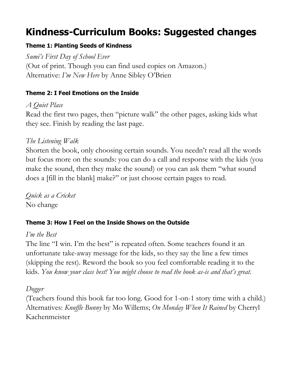# **Kindness-Curriculum Books: Suggested changes**

# **Theme 1: Planting Seeds of Kindness**

*Sumi's First Day of School Ever* (Out of print. Though you can find used copies on Amazon.) Alternative: *I'm New Here* by Anne Sibley O'Brien

#### **Theme 2: I Feel Emotions on the Inside**

*A Quiet Place* Read the first two pages, then "picture walk" the other pages, asking kids what they see. Finish by reading the last page.

# *The Listening Walk*

Shorten the book, only choosing certain sounds. You needn't read all the words but focus more on the sounds: you can do a call and response with the kids (you make the sound, then they make the sound) or you can ask them "what sound does a [fill in the blank] make?" or just choose certain pages to read.

*Quick as a Cricket* No change

# **Theme 3: How I Feel on the Inside Shows on the Outside**

# *I'm the Best*

The line "I win. I'm the best" is repeated often. Some teachers found it an unfortunate take-away message for the kids, so they say the line a few times (skipping the rest). Reword the book so you feel comfortable reading it to the kids. *You know your class best! You might choose to read the book as-is and that's great.*

# *Dogger*

(Teachers found this book far too long. Good for 1-on-1 story time with a child.) Alternatives: *Knuffle Bunny* by Mo Willems; *On Monday When It Rained* by Cherryl Kachenmeister